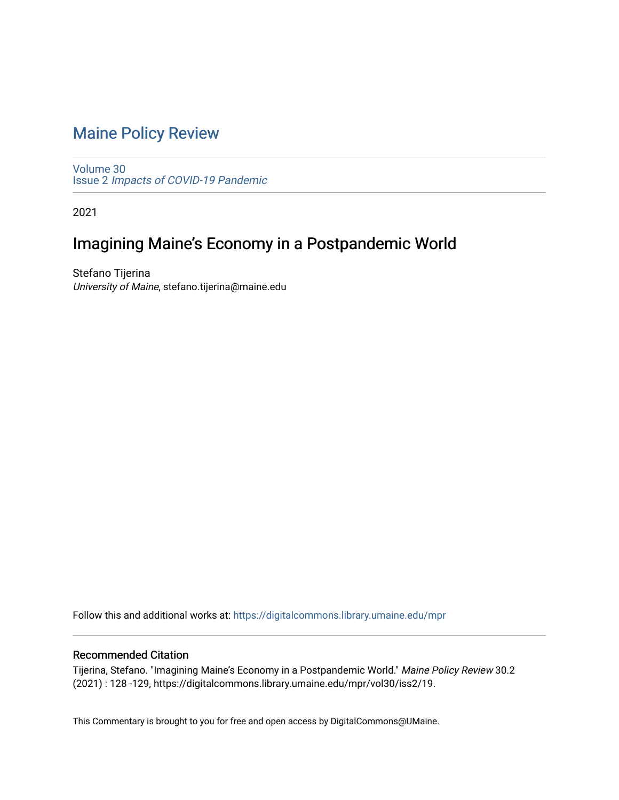## [Maine Policy Review](https://digitalcommons.library.umaine.edu/mpr)

[Volume 30](https://digitalcommons.library.umaine.edu/mpr/vol30) Issue 2 [Impacts of COVID-19 Pandemic](https://digitalcommons.library.umaine.edu/mpr/vol30/iss2)

2021

# Imagining Maine's Economy in a Postpandemic World

Stefano Tijerina University of Maine, stefano.tijerina@maine.edu

Follow this and additional works at: [https://digitalcommons.library.umaine.edu/mpr](https://digitalcommons.library.umaine.edu/mpr?utm_source=digitalcommons.library.umaine.edu%2Fmpr%2Fvol30%2Fiss2%2F19&utm_medium=PDF&utm_campaign=PDFCoverPages)

#### Recommended Citation

Tijerina, Stefano. "Imagining Maine's Economy in a Postpandemic World." Maine Policy Review 30.2 (2021) : 128 -129, https://digitalcommons.library.umaine.edu/mpr/vol30/iss2/19.

This Commentary is brought to you for free and open access by DigitalCommons@UMaine.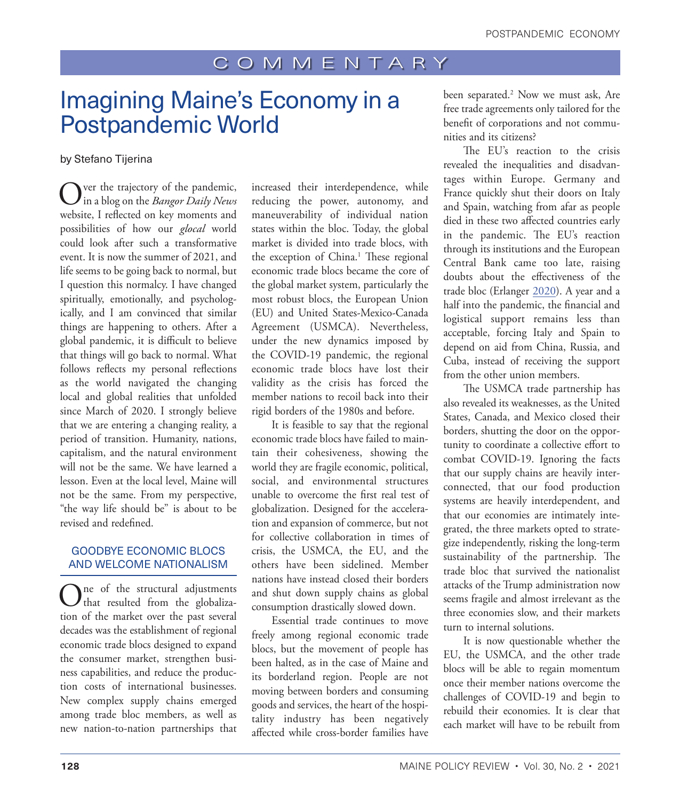### COMMENTARY

# <span id="page-1-0"></span>Imagining Maine's Economy in a Postpandemic World

#### by Stefano Tijerina

Over the trajectory of the pandemic, in a blog on the *Bangor Daily News* website, I reflected on key moments and possibilities of how our *glocal* world could look after such a transformative event. It is now the summer of 2021, and life seems to be going back to normal, but I question this normalcy. I have changed spiritually, emotionally, and psychologically, and I am convinced that similar things are happening to others. After a global pandemic, it is difficult to believe that things will go back to normal. What follows reflects my personal reflections as the world navigated the changing local and global realities that unfolded since March of 2020. I strongly believe that we are entering a changing reality, a period of transition. Humanity, nations, capitalism, and the natural environment will not be the same. We have learned a lesson. Even at the local level, Maine will not be the same. From my perspective, "the way life should be" is about to be revised and redefined.

#### GOODBYE ECONOMIC BLOCS AND WELCOME NATIONALISM

One of the structural adjustments<br>that resulted from the globalization of the market over the past several decades was the establishment of regional economic trade blocs designed to expand the consumer market, strengthen business capabilities, and reduce the production costs of international businesses. New complex supply chains emerged among trade bloc members, as well as new nation-to-nation partnerships that

increased their interdependence, while reducing the power, autonomy, and maneuverability of individual nation states within the bloc. Today, the global market is divided into trade blocs, with the exception of China.<sup>[1](#page-2-0)</sup> These regional economic trade blocs became the core of the global market system, particularly the most robust blocs, the European Union (EU) and United States-Mexico-Canada Agreement (USMCA). Nevertheless, under the new dynamics imposed by the COVID-19 pandemic, the regional economic trade blocs have lost their validity as the crisis has forced the member nations to recoil back into their rigid borders of the 1980s and before.

It is feasible to say that the regional economic trade blocs have failed to maintain their cohesiveness, showing the world they are fragile economic, political, social, and environmental structures unable to overcome the first real test of globalization. Designed for the acceleration and expansion of commerce, but not for collective collaboration in times of crisis, the USMCA, the EU, and the others have been sidelined. Member nations have instead closed their borders and shut down supply chains as global consumption drastically slowed down.

Essential trade continues to move freely among regional economic trade blocs, but the movement of people has been halted, as in the case of Maine and its borderland region. People are not moving between borders and consuming goods and services, the heart of the hospitality industry has been negatively affected while cross-border families have

been separated[.2](#page-2-0) Now we must ask, Are free trade agreements only tailored for the benefit of corporations and not communities and its citizens?

The EU's reaction to the crisis revealed the inequalities and disadvantages within Europe. Germany and France quickly shut their doors on Italy and Spain, watching from afar as people died in these two affected countries early in the pandemic. The EU's reaction through its institutions and the European Central Bank came too late, raising doubts about the effectiveness of the trade bloc (Erlanger [2020](#page-2-1)). A year and a half into the pandemic, the financial and logistical support remains less than acceptable, forcing Italy and Spain to depend on aid from China, Russia, and Cuba, instead of receiving the support from the other union members.

The USMCA trade partnership has also revealed its weaknesses, as the United States, Canada, and Mexico closed their borders, shutting the door on the opportunity to coordinate a collective effort to combat COVID-19. Ignoring the facts that our supply chains are heavily interconnected, that our food production systems are heavily interdependent, and that our economies are intimately integrated, the three markets opted to strategize independently, risking the long-term sustainability of the partnership. The trade bloc that survived the nationalist attacks of the Trump administration now seems fragile and almost irrelevant as the three economies slow, and their markets turn to internal solutions.

It is now questionable whether the EU, the USMCA, and the other trade blocs will be able to regain momentum once their member nations overcome the challenges of COVID-19 and begin to rebuild their economies. It is clear that each market will have to be rebuilt from